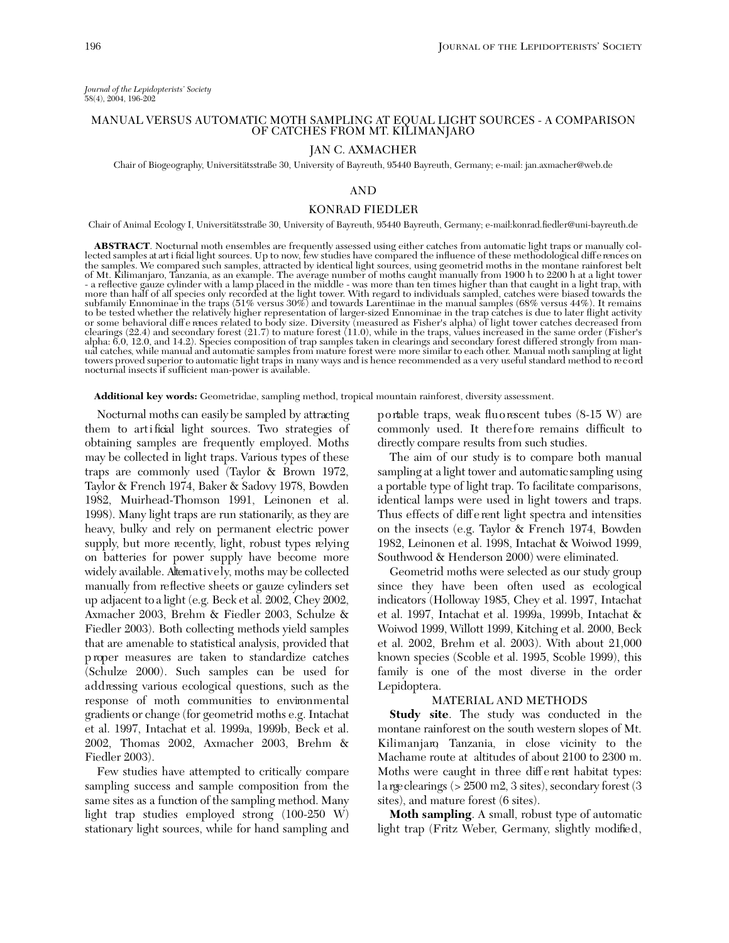# MANUAL VERSUS AUTOMATIC MOTH SAMPLING AT EQUAL LIGHT SOURCES - A COMPARISON OF CATCHES FROM MT. KILIMANJARO

## JAN C. AXMACHER

Chair of Biogeography, Universitätsstraße 30, University of Bayreuth, 95440 Bayreuth, Germany; e-mail: jan.axmacher@web.de

## AND

### KONRAD FIEDLER

Chair of Animal Ecology I, Universitätsstraße 30, University of Bayreuth, 95440 Bayreuth, Germany; e-mail:konrad.fiedler@uni-bayreuth.de

**ABSTRACT**. Nocturnal moth ensembles are frequently assessed using either catches from automatic light traps or manually collected samples at art i ficial light sources. Up to now, few studies have compared the influence o the samples. We compared such samples, attracted by identical light sources, using geometrid moths in the montane rainforest belt<br>of Mt. Kilimanjaro, Tanzania, as an example. The average number of moths caught manually fro more than half of all species only recorded at the light tower. With regard to individuals sampled, catches were biased towards the subfamily Ennominae in the traps (51% versus 30%) and towards Larentiinae in the manual samples (68% versus 44%). It remains to be tested whether the relatively higher representation of larger-sized Ennominae in the trap catches is due to later flight activity or some behavioral differences related to body size. Diversity (measured as Fisher's alpha) of light tower catches decreased from clearings (22.4) and secondary forest (21.7) to mature forest (11.0), while in the traps, va alpha: 6.0, 12.0, and 14.2). Species composition of trap samples taken in clearings and secondary forest differed strongly from manual catches, while manual and automatic samples from mature forest were more similar to each other. Manual moth sampling at light towers proved superior to automatic light traps in many ways and is hence recommended as a very useful standard method to record nocturnal insects if sufficient man-power is available.

**Additional key words:** Geometridae, sampling method, tropical mountain rainforest, diversity assessment.

Nocturnal moths can easily be sampled by attracting them to artificial light sources. Two strategies of obtaining samples are frequently employed. Moths may be collected in light traps. Various types of these traps are commonly used (Taylor & Brown 1972, Taylor & French 1974, Baker & Sadovy 1978, Bowden 1982, Muirhead-Thomson 1991, Leinonen et al. 1998). Many light traps are run stationarily, as they are heavy, bulky and rely on permanent electric power supply, but more recently, light, robust types relying on batteries for power supply have become more widely available. Altematively, moths may be collected manually from re flective sheets or gauze cylinders set up adjacent to a light (e.g. Beck et al. 2002, Chey 2002, Axmacher 2003, Brehm & Fiedler 2003, Schulze & Fiedler 2003). Both collecting methods yield samples that are amenable to statistical analysis, provided that p roper measures are taken to standardize catches (Schulze 2000). Such samples can be used for addressing various ecological questions, such as the response of moth communities to environmental gradients or change (for geometrid moths e.g. Intachat et al. 1997, Intachat et al. 1999a, 1999b, Beck et al. 2002, Thomas 2002, Axmacher 2003, Brehm & Fiedler 2003).

Few studies have attempted to critically compare sampling success and sample composition from the same sites as a function of the sampling method. Many light trap studies employed strong (100-250 W) stationary light sources, while for hand sampling and

p o rtable traps, weak flu o rescent tubes (8-15 W) are commonly used. It therefore remains difficult to directly compare results from such studies.

The aim of our study is to compare both manual sampling at a light tower and automatic sampling using a portable type of light trap. To facilitate comparisons, identical lamps were used in light towers and traps. Thus effects of different light spectra and intensities on the insects (e.g. Taylor & French 1974, Bowden 1982, Leinonen et al. 1998, Intachat & Woiwod 1999, Southwood & Henderson 2000) were eliminated.

Geometrid moths were selected as our study group since they have been often used as ecological indicators (Holloway 1985, Chey et al. 1997, Intachat et al. 1997, Intachat et al. 1999a, 1999b, Intachat & Woiwod 1999, Willott 1999, Kitching et al. 2000, Beck et al. 2002, Brehm et al. 2003). With about 21,000 known species (Scoble et al. 1995, Scoble 1999), this family is one of the most diverse in the order Lepidoptera.

### MATERIAL AND METHODS

**Study site**. The study was conducted in the montane rainforest on the south western slopes of Mt. Kilimanjaro, Tanzania, in close vicinity to the Machame route at altitudes of about 2100 to 2300 m. Moths were caught in three diff e rent habitat types: l a rge clearings (> 2500 m2, 3 sites), secondary forest (3 sites), and mature forest (6 sites).

**Moth sampling**. A small, robust type of automatic light trap (Fritz Weber, Germany, slightly modified,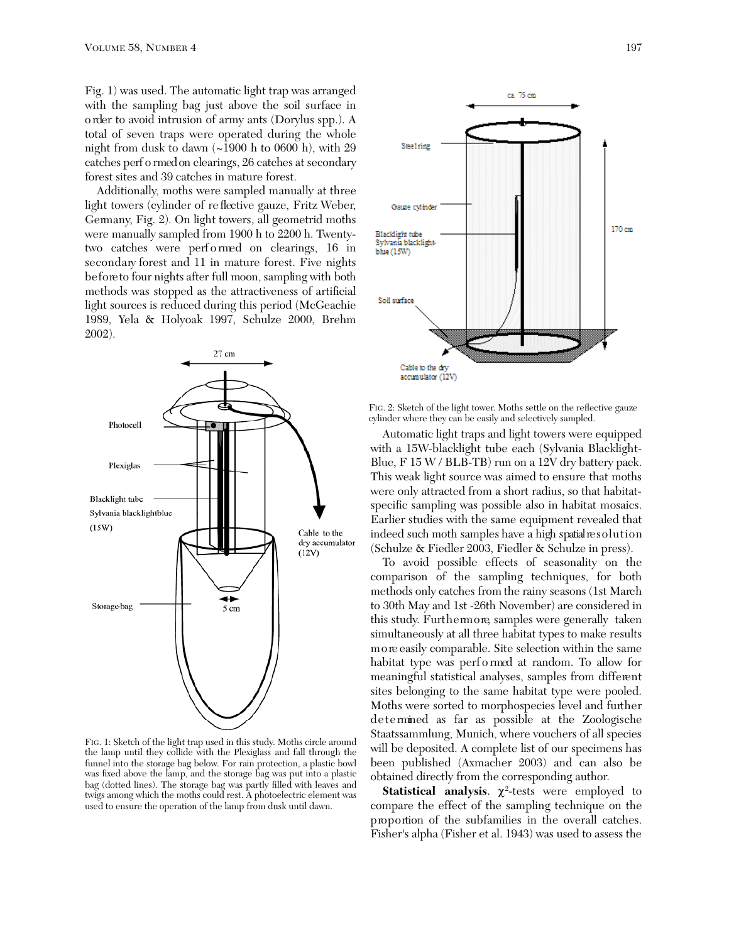Fig. 1) was used. The automatic light trap was arranged with the sampling bag just above the soil surface in o rder to avoid intrusion of army ants (Dorylus spp.). A total of seven traps were operated during the whole night from dusk to dawn (~1900 h to 0600 h), with 29 catches perf o rmed on clearings, 26 catches at secondary forest sites and 39 catches in mature forest.

Additionally, moths were sampled manually at three light towers (cylinder of reflective gauze, Fritz Weber, Germany, Fig. 2). On light towers, all geometrid moths were manually sampled from 1900 h to 2200 h. Twentytwo catches were perf o rmed on clearings, 16 in secondary forest and 11 in mature forest. Five nights be fore to four nights after full moon, sampling with both methods was stopped as the attractiveness of artificial light sources is reduced during this period (McGeachie 1989, Yela & Holyoak 1997, Schulze 2000, Brehm 2002).



FIG. 1: Sketch of the light trap used in this study. Moths circle around the lamp until they collide with the Plexiglass and fall through the funnel into the storage bag below. For rain protection, a plastic bowl was fixed above the lamp, and the storage bag was put into a plastic bag (dotted lines). The storage bag was partly filled with leaves and twigs among which the moths could rest. A photoelectric element was used to ensure the operation of the lamp from dusk until dawn.



FIG. 2: Sketch of the light tower. Moths settle on the reflective gauze cylinder where they can be easily and selectively sampled.

Automatic light traps and light towers were equipped with a 15W-blacklight tube each (Sylvania Blacklight-Blue, F 15 W / BLB-TB) run on a 12V dry battery pack. This weak light source was aimed to ensure that moths were only attracted from a short radius, so that habitatspecific sampling was possible also in habitat mosaics. Earlier studies with the same equipment revealed that indeed such moth samples have a high spatial resolution (Schulze & Fiedler 2003, Fiedler & Schulze in press).

To avoid possible effects of seasonality on the comparison of the sampling techniques, for both methods only catches from the rainy seasons (1st March to 30th May and 1st -26th November) are considered in this study. Furthermore, samples were generally taken simultaneously at all three habitat types to make results m o re easily comparable. Site selection within the same habitat type was perf o rmed at random. To allow for meaningful statistical analyses, samples from different sites belonging to the same habitat type were pooled. Moths were sorted to morphospecies level and further de termined as far as possible at the Zoologische Staatssammlung, Munich, where vouchers of all species will be deposited. A complete list of our specimens has been published (Axmacher 2003) and can also be obtained directly from the corresponding author.

Statistical analysis.  $\chi^2$ -tests were employed to compare the effect of the sampling technique on the proportion of the subfamilies in the overall catches. Fisher's alpha (Fisher et al. 1943) was used to assess the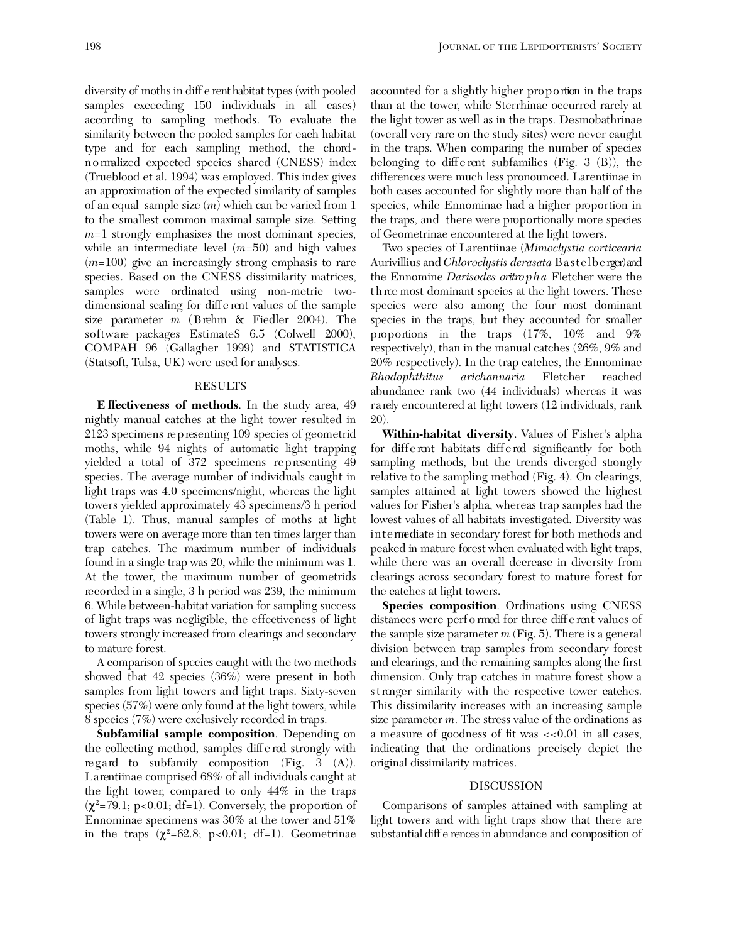diversity of moths in diff e rent habitat types (with pooled samples exceeding 150 individuals in all cases) according to sampling methods. To evaluate the similarity between the pooled samples for each habitat type and for each sampling method, the chordn o rmalized expected species shared (CNESS) index ( Trueblood et al. 1994) was employed. This index gives an approximation of the expected similarity of samples of an equal sample size (*m*) which can be varied from 1 to the smallest common maximal sample size. Setting *m*=1 strongly emphasises the most dominant species, while an intermediate level (*m*=50) and high values (*m*=100) give an increasingly strong emphasis to rare species. Based on the CNESS dissimilarity matrices, samples were ordinated using non-metric twodimensional scaling for diff e rent values of the sample size parameter  $m$  (Brehm  $\&$  Fiedler 2004). The software packages EstimateS 6.5 (Colwell 2000), COMPAH 96 (Gallagher 1999) and STATISTICA (Statsoft, Tulsa, UK) were used for analyses.

## RESULTS

**E ffectiveness of methods**. In the study area, 49 nightly manual catches at the light tower resulted in 2123 specimens re p resenting 109 species of geometrid moths, while 94 nights of automatic light trapping yielded a total of 372 specimens representing 49 species. The average number of individuals caught in light traps was 4.0 specimens/night, whereas the light towers yielded approximately 43 specimens/3 h period ( Table 1). Thus, manual samples of moths at light towers were on average more than ten times larger than trap catches. The maximum number of individuals found in a single trap was 20, while the minimum was 1. At the tower, the maximum number of geometrids re corded in a single, 3 h period was 239, the minimum 6. While between-habitat variation for sampling success of light traps was negligible, the effectiveness of light towers strongly increased from clearings and secondary to mature forest.

A comparison of species caught with the two methods showed that 42 species (36%) were present in both samples from light towers and light traps. Sixty-seven species (57%) were only found at the light towers, while 8 species (7%) were exclusively recorded in traps.

**Subfamilial sample composition**. Depending on the collecting method, samples diff e red strongly with regard to subfamily composition (Fig. 3  $(A)$ ). La rentiinae comprised 68% of all individuals caught at the light tower, compared to only 44% in the traps  $(\chi^2$ =79.1; p<0.01; df=1). Conversely, the proportion of Ennominae specimens was 30% at the tower and 51% in the traps  $(\chi^2=62.8; \text{ p}<0.01; \text{ df}=1)$ . Geometrinae

accounted for a slightly higher proportion in the traps than at the tower, while Sterrhinae occurred rarely at the light tower as well as in the traps. Desmobathrinae (overall very rare on the study sites) were never caught in the traps. When comparing the number of species belonging to different subfamilies (Fig. 3  $(B)$ ), the differences were much less pronounced. Larentiinae in both cases accounted for slightly more than half of the species, while Ennominae had a higher proportion in the traps, and there were proportionally more species of Geometrinae encountered at the light towers.

Two species of Larentiinae (*Mimoclystia corticearia* Aurivillius and *Chloroclystis derasata* Bastelberger) and the Ennomine *Darisodes oritro p h a* Fletcher were the t h ree most dominant species at the light towers. These species were also among the four most dominant species in the traps, but they accounted for smaller proportions in the traps  $(17\%, 10\%$  and  $9\%$ respectively), than in the manual catches (26%, 9% and 20% respectively). In the trap catches, the Ennominae *Rhodophthitus arichannaria* Fletcher reached abundance rank two (44 individuals) whereas it was rarely encountered at light towers (12 individuals, rank 20).

**Within-habitat diversity**. Values of Fisher's alpha for different habitats differed significantly for both sampling methods, but the trends diverged strongly relative to the sampling method (Fig. 4). On clearings, samples attained at light towers showed the highest values for Fisher's alpha, whereas trap samples had the lowest values of all habitats investigated. Diversity was in termediate in secondary forest for both methods and peaked in mature forest when evaluated with light traps, while there was an overall decrease in diversity from clearings across secondary forest to mature forest for the catches at light towers.

**Species composition**. Ordinations using CNESS distances were perf o rmed for three diff e rent values of the sample size parameter *m* (Fig. 5). There is a general division between trap samples from secondary forest and clearings, and the remaining samples along the first dimension. Only trap catches in mature forest show a st ronger similarity with the respective tower catches. This dissimilarity increases with an increasing sample size parameter *m*. The stress value of the ordinations as a measure of goodness of fit was <<0.01 in all cases, indicating that the ordinations precisely depict the original dissimilarity matrices.

### DISCUSSION

Comparisons of samples attained with sampling at light towers and with light traps show that there are substantial diff e rences in abundance and composition of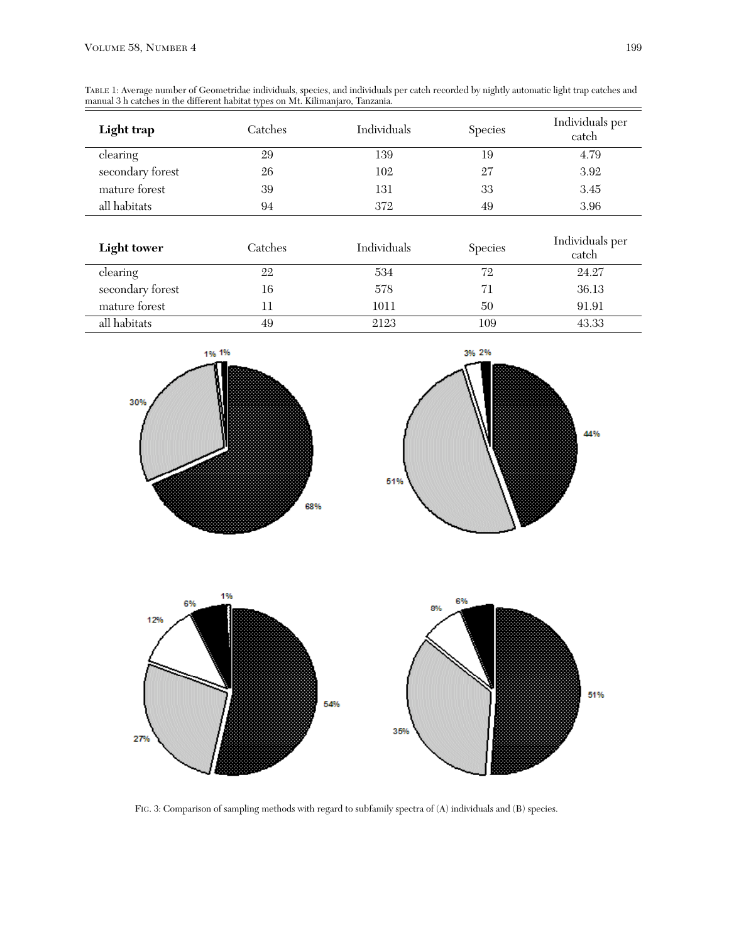TABLE 1: Average number of Geometridae individuals, species, and individuals per catch recorded by nightly automatic light trap catches and manual 3 h catches in the different habitat types on Mt. Kilimanjaro, Tanzania.

| Light trap       | Catches | Individuals | <b>Species</b> | Individuals per<br>catch |
|------------------|---------|-------------|----------------|--------------------------|
| clearing         | 29      | 139         | 19             | 4.79                     |
| secondary forest | 26      | 102         | 27             | 3.92                     |
| mature forest    | 39      | 131         | 33             | 3.45                     |
| all habitats     | 94      | 372         | 49             | 3.96                     |

| <b>Light tower</b> | Catches | Individuals | <b>Species</b> | Individuals per<br>catch |
|--------------------|---------|-------------|----------------|--------------------------|
| clearing           | 22      | 534         | 72             | 24.27                    |
| secondary forest   | 16      | 578         |                | 36.13                    |
| mature forest      |         | 1011        | 50             | 91.91                    |
| all habitats       | 49      | 2123        | 109            | 43.33                    |







FIG. 3: Comparison of sampling methods with regard to subfamily spectra of (A) individuals and (B) species.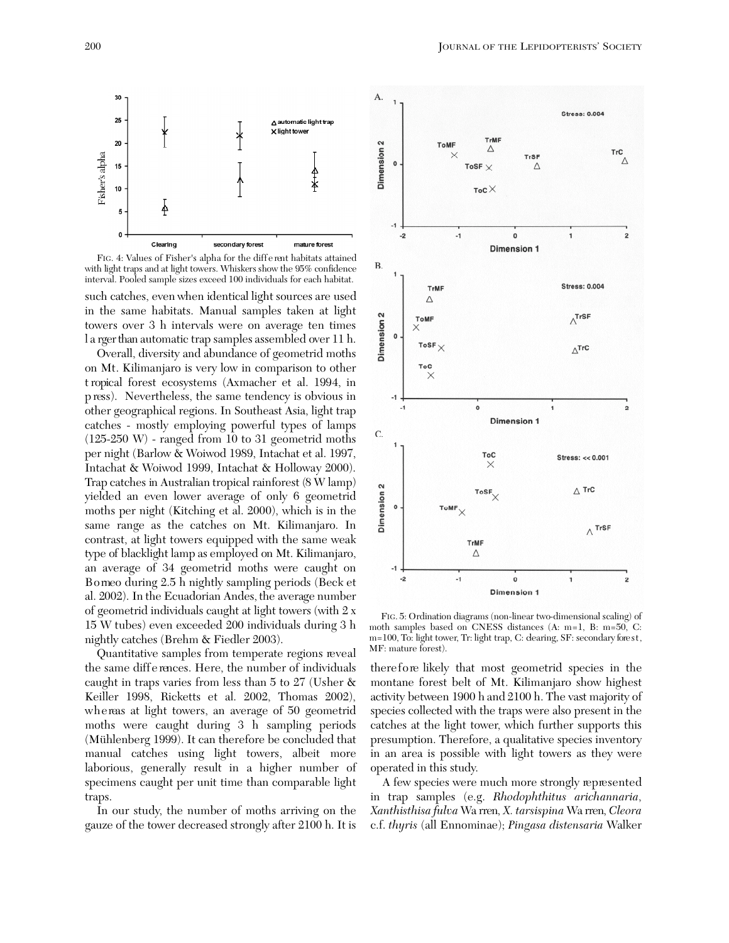



such catches, even when identical light sources are used in the same habitats. Manual samples taken at light towers over 3 h intervals were on average ten times l a rger than automatic trap samples assembled over 11 h.

Overall, diversity and abundance of geometrid moths on Mt. Kilimanjaro is very low in comparison to other t ropical forest ecosystems (Axmacher et al. 1994, in p ress). Nevertheless, the same tendency is obvious in other geographical regions. In Southeast Asia, light trap catches - mostly employing powerful types of lamps (125-250 W) - ranged from 10 to 31 geometrid moths per night (Barlow & Woiwod 1989, Intachat et al. 1997, Intachat & Woiwod 1999, Intachat & Holloway 2000). Trap catches in Australian tropical rainforest (8 W lamp) yielded an even lower average of only 6 geometrid moths per night (Kitching et al. 2000), which is in the same range as the catches on Mt. Kilimanjaro. In contrast, at light towers equipped with the same weak type of blacklight lamp as employed on Mt. Kilimanjaro, an average of 34 geometrid moths were caught on Bo meo during 2.5 h nightly sampling periods (Beck et al. 2002). In the Ecuadorian Andes, the average number of geometrid individuals caught at light towers (with 2 x 15 W tubes) even exceeded 200 individuals during 3 h nightly catches (Brehm & Fiedler 2003).

Quantitative samples from temperate regions reveal the same differences. Here, the number of individuals caught in traps varies from less than 5 to 27 (Usher & Keiller 1998, Ricketts et al. 2002, Thomas 2002), whereas at light towers, an average of 50 geometrid moths were caught during 3 h sampling periods (Mühlenberg 1999). It can therefore be concluded that manual catches using light towers, albeit more laborious, generally result in a higher number of specimens caught per unit time than comparable light traps.

In our study, the number of moths arriving on the gauze of the tower decreased strongly after 2100 h. It is



FIG. 5: Ordination diagrams (non-linear two-dimensional scaling) of moth samples based on CNESS distances (A: m=1, B: m=50, C: m=100, To: light tower, Tr: light trap, C: dearing, SF: secondary fore st, MF: mature forest).

there fore likely that most geometrid species in the montane forest belt of Mt. Kilimanjaro show highest activity between 1900 h and 2100 h. The vast majority of species collected with the traps were also present in the catches at the light tower, which further supports this presumption. Therefore, a qualitative species inventory in an area is possible with light towers as they were operated in this study.

A few species were much more strongly represented in trap samples (e.g. *Rhodophthitus arichannaria*, *Xanthisthisa fulva* Wa rren, *X. tarsispina* Wa rren, *Cleora* c.f. *thyris* (all Ennominae); *Pingasa distensaria* Walker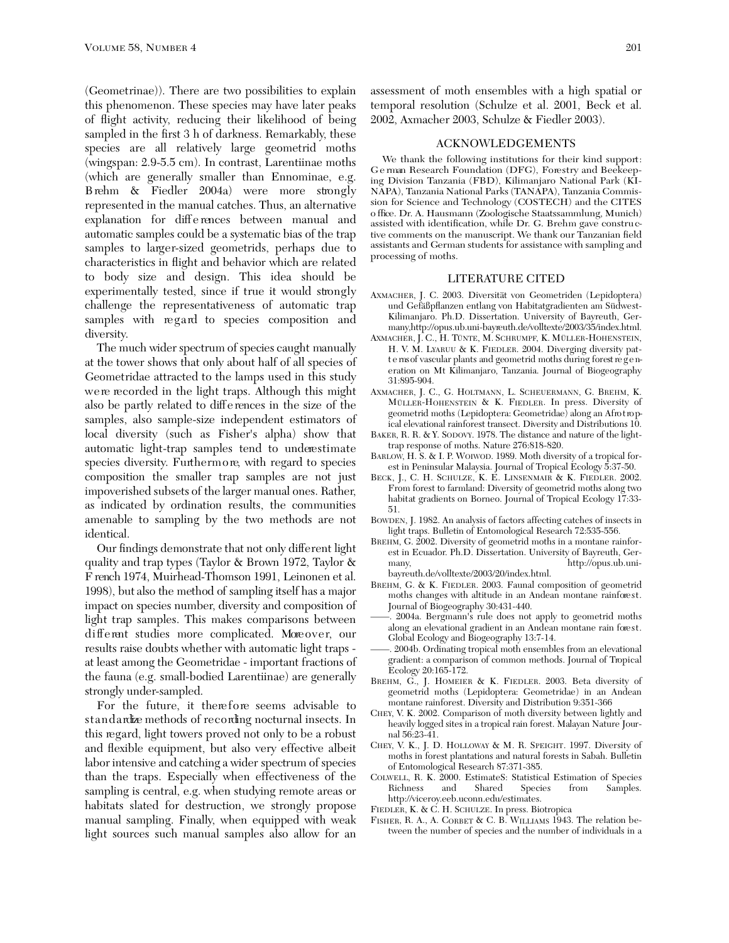(Geometrinae)). There are two possibilities to explain this phenomenon. These species may have later peaks of flight activity, reducing their likelihood of being sampled in the first 3 h of darkness. Remarkably, these species are all relatively large geometrid moths (wingspan: 2.9-5.5 cm). In contrast, Larentiinae moths (which are generally smaller than Ennominae, e.g. B rehm  $\&$  Fiedler 2004a) were more strongly represented in the manual catches. Thus, an alternative explanation for differences between manual and automatic samples could be a systematic bias of the trap samples to larger-sized geometrids, perhaps due to characteristics in flight and behavior which are related to body size and design. This idea should be experimentally tested, since if true it would strongly challenge the representativeness of automatic trap samples with regard to species composition and diversity.

The much wider spectrum of species caught manually at the tower shows that only about half of all species of Geometridae attracted to the lamps used in this study were recorded in the light traps. Although this might also be partly related to diff e rences in the size of the samples, also sample-size independent estimators of local diversity (such as Fisher's alpha) show that automatic light-trap samples tend to underestimate species diversity. Furthermore, with regard to species composition the smaller trap samples are not just impoverished subsets of the larger manual ones. Rather, as indicated by ordination results, the communities amenable to sampling by the two methods are not identical.

Our findings demonstrate that not only different light quality and trap types (Taylor & Brown 1972, Taylor & F rench 1974, Muirhead-Thomson 1991, Leinonen et al. 1998), but also the method of sampling itself has a major impact on species number, diversity and composition of light trap samples. This makes comparisons between different studies more complicated. Moreover, our results raise doubts whether with automatic light traps at least among the Geometridae - important fractions of the fauna (e.g. small-bodied Larentiinae) are generally strongly under-sampled.

For the future, it therefore seems advisable to st and ardize methods of recording nocturnal insects. In this regard, light towers proved not only to be a robust and flexible equipment, but also very effective albeit labor intensive and catching a wider spectrum of species than the traps. Especially when effectiveness of the sampling is central, e.g. when studying remote areas or habitats slated for destruction, we strongly propose manual sampling. Finally, when equipped with weak light sources such manual samples also allow for an assessment of moth ensembles with a high spatial or temporal resolution (Schulze et al. 2001, Beck et al. 2002, Axmacher 2003, Schulze & Fiedler 2003).

#### ACKNOWLEDGEMENTS

We thank the following institutions for their kind support: German Research Foundation (DFG), Forestry and Beekeeping Division Tanzania (FBD), Kilimanjaro National Park (KI-NAPA), Tanzania National Parks (TANAPA), Tanzania Commission for Science and Technology (COSTECH) and the CITES o ffice. Dr. A. Hausmann (Zoologische Staatssammlung, Munich) assisted with identification, while Dr. G. Brehm gave constru ctive comments on the manuscript. We thank our Tanzanian field assistants and German students for assistance with sampling and processing of moths.

#### LITERATURE CITED

- AXMACHER, J. C. 2003. Diversität von Geometriden (Lepidoptera) und Gefäßpflanzen entlang von Habitatgradienten am Südwest-Kilimanjaro. Ph.D. Dissertation. University of Bayreuth, Germany,http://opus.ub.uni-bayreuth.de/volltexte/2003/35/index.html.
- AXMACHER, J. C., H. TÜNTE, M. SCHRUMPF, K. MÜLLER-HOHENSTEIN, H. V. M. LYARUU & K. FIEDLER. 2004. Diverging diversity patt e ms of vascular plants and geometrid moths during forest regeneration on Mt Kilimanjaro, Tanzania. Journal of Biogeography 31:895-904.
- AXMACHER, J. C., G. HOLTMANN, L. SCHEUERMANN, G. BREHM, K. MÜLLER-HOHENSTEIN & K. FIEDLER. In press. Diversity of geometrid moths (Lepidoptera: Geometridae) along an Afro tropical elevational rainforest transect. Diversity and Distributions 10.
- BAKER, R. R. & Y. SODOVY. 1978. The distance and nature of the lighttrap response of moths. Nature 276:818-820.
- BARLOW, H. S. & I. P. WOIWOD. 1989. Moth diversity of a tropical forest in Peninsular Malaysia. Journal of Tropical Ecology 5:37-50.
- BECK, J., C. H. SCHULZE, K. E. LINSENMAIR & K. FIEDLER. 2002. From forest to farmland: Diversity of geometrid moths along two habitat gradients on Borneo. Journal of Tropical Ecology 17:33- 51.
- BOWDEN, J. 1982. An analysis of factors affecting catches of insects in light traps. Bulletin of Entomological Research 72:535-556.
- BREHM, G. 2002. Diversity of geometrid moths in a montane rainforest in Ecuador. Ph.D. Dissertation. University of Bayreuth, Germany, http://opus.ub.unibayreuth.de/volltexte/2003/20/index.html.
- BREHM, G. & K. FIEDLER. 2003. Faunal composition of geometrid moths changes with altitude in an Andean montane rainforest. Journal of Biogeography 30:431-440.
- 2004a. Bergmann's rule does not apply to geometrid moths along an elevational gradient in an Andean montane rain forest. Global Ecology and Biogeography 13:7-14.
- ——. 2004b. Ordinating tropical moth ensembles from an elevational gradient: a comparison of common methods. Journal of Tropical Ecology 20:165-172.
- BREHM, G., J. HOMEIER & K. FIEDLER. 2003. Beta diversity of geometrid moths (Lepidoptera: Geometridae) in an Andean montane rainforest. Diversity and Distribution 9:351-366
- CHEY, V. K. 2002. Comparison of moth diversity between lightly and heavily logged sites in a tropical rain forest. Malayan Nature Journal 56:23-41.
- CHEY, V. K., J. D. HOLLOWAY & M. R. SPEIGHT. 1997. Diversity of moths in forest plantations and natural forests in Sabah. Bulletin of Entomological Research 87:371-385.
- COLWELL, R. K. 2000. EstimateS: Statistical Estimation of Species<br>Richness and Shared Species from Samples. Richness and Shared Species from Samples. http://viceroy.eeb.uconn.edu/estimates.
- FIEDLER, K. & C. H. SCHULZE. In press. Biotropica
- FISHER, R. A., A. CORBET & C. B. WILLIAMS 1943. The relation between the number of species and the number of individuals in a